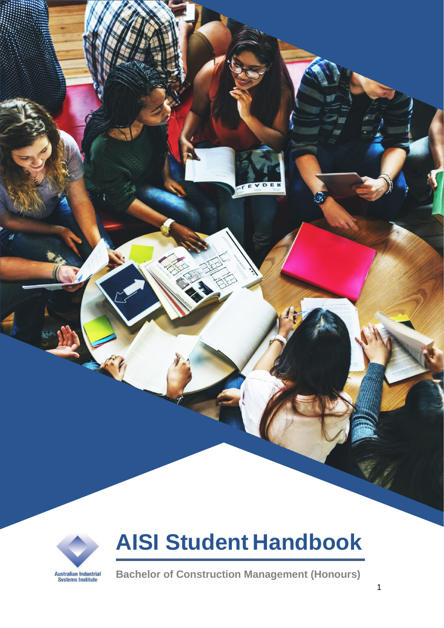

# **AISI Student Handbook**

**Bachelor of Construction Management (Honours)**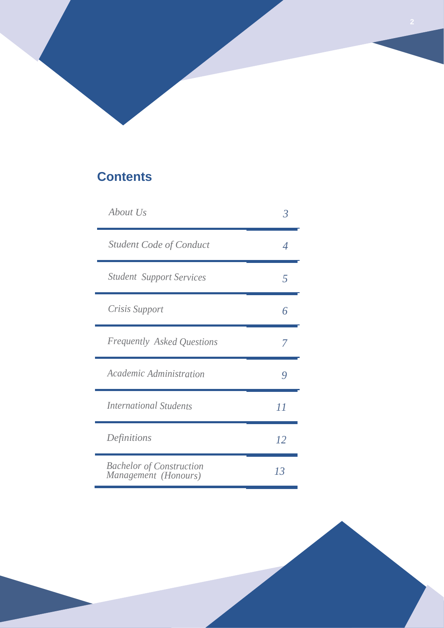# **Contents**

| About Us                                                | 3              |
|---------------------------------------------------------|----------------|
| <b>Student Code of Conduct</b>                          | Δ              |
| <b>Student Support Services</b>                         | $\overline{5}$ |
| Crisis Support                                          | 6              |
| <b>Frequently Asked Questions</b>                       | 7              |
| Academic Administration                                 | y              |
| <b>International Students</b>                           | 11             |
| Definitions                                             | 12             |
| <b>Bachelor of Construction</b><br>Management (Honours) | 13             |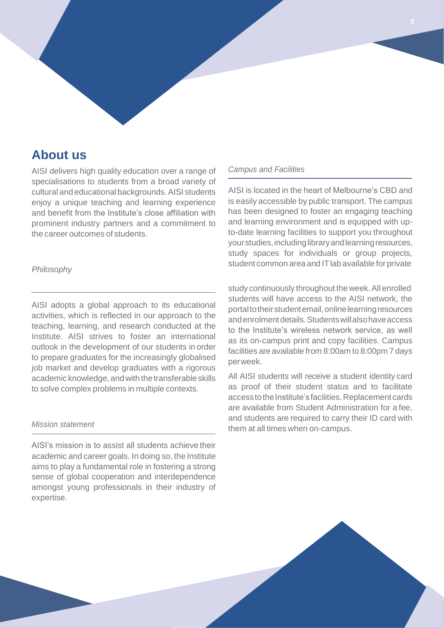# **About us**

AISI delivers high quality education over a range of specialisations to students from a broad variety of cultural and educational backgrounds.AISI students enjoy a unique teaching and learning experience and benefit from the Institute's close affiliation with prominent industry partners and a commitment to the career outcomes of students.

# *Philosophy*

AISI adopts a global approach to its educational activities, which is reflected in our approach to the teaching, learning, and research conducted at the Institute. AISI strives to foster an international outlook in the development of our students in order to prepare graduates for the increasingly globalised job market and develop graduates with a rigorous academic knowledge, and with the transferable skills to solve complex problems in multiple contexts.

# *Mission statement*

AISI's mission is to assist all students achieve their academic and career goals. In doing so, the Institute aims to play a fundamental role in fostering a strong sense of global cooperation and interdependence amongst young professionals in their industry of expertise.

# *Campus and Facilities*

AISI is located in the heart of Melbourne's CBD and is easily accessible by public transport. The campus has been designed to foster an engaging teaching and learning environment and is equipped with upto-date learning facilities to support you throughout yourstudies,includinglibraryandlearningresources, study spaces for individuals or group projects, student common area and ITlab available for private

study continuously throughout theweek.All enrolled students will have access to the AISI network, the portaltotheirstudentemail,onlinelearningresources andenrolmentdetails.Studentswillalsohaveaccess to the Institute's wireless network service, as well as its on-campus print and copy facilities. Campus facilities are available from 8:00am to 8:00pm 7 days perweek.

All AISI students will receive a student identity card as proof of their student status and to facilitate access to the Institute's facilities. Replacement cards are available from Student Administration for a fee, and students are required to carry their ID card with them at all times when on-campus.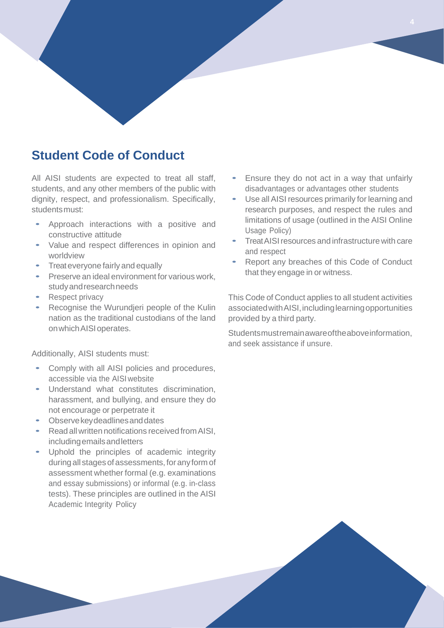# **Student Code of Conduct**

All AISI students are expected to treat all staff, students, and any other members of the public with dignity, respect, and professionalism. Specifically, studentsmust:

- Approach interactions with a positive and constructive attitude
- Value and respect differences in opinion and worldview
- Treat everyone fairly and equally
- Preserve an ideal environment for various work, studyandresearchneeds
- Respect privacy
- Recognise the Wurundjeri people of the Kulin nation as the traditional custodians of the land onwhichAISIoperates.

Additionally, AISI students must:

- Comply with all AISI policies and procedures, accessible via the AISI website
- Understand what constitutes discrimination, harassment, and bullying, and ensure they do not encourage or perpetrate it
- Observe key deadlines and dates
- Read allwritten notifications received fromAISI, includingemailsandletters
- Uphold the principles of academic integrity during all stages of assessments, for any form of assessment whether formal (e.g. examinations and essay submissions) or informal (e.g. in-class tests). These principles are outlined in the AISI Academic Integrity Policy
- Ensure they do not act in a way that unfairly disadvantages or advantages other students
- Use all AISI resources primarily for learning and research purposes, and respect the rules and limitations of usage (outlined in the AISI Online Usage Policy)
- Treat AISI resources and infrastructure with care and respect
- Report any breaches of this Code of Conduct that they engage in or witness.

This Code of Conduct applies to all student activities associated with AISI, including learning opportunities provided by a third party.

Studentsmustremainawareoftheaboveinformation, and seek assistance if unsure.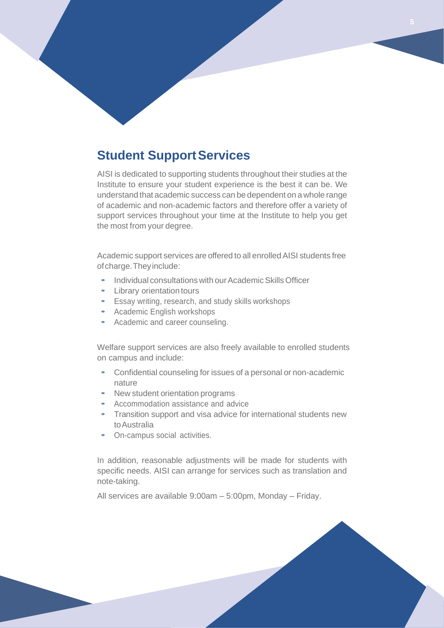# **Student SupportServices**

AISI is dedicated to supporting students throughout their studies at the Institute to ensure your student experience is the best it can be. We understand that academic success can be dependent on a whole range of academic and non-academic factors and therefore offer a variety of support services throughout your time at the Institute to help you get the most from your degree.

Academic support services are offered to all enrolledAISI students free ofcharge.Theyinclude:

- Individual consultations with our Academic Skills Officer
- Library orientation tours
- Essay writing, research, and study skills workshops
- Academic English workshops
- Academic and career counseling.

Welfare support services are also freely available to enrolled students on campus and include:

- Confidential counseling for issues of <sup>a</sup> personal or non-academic nature
- New student orientation programs
- Accommodation assistance and advice
- Transition support and visa advice for international students new toAustralia
- On-campus social activities.

In addition, reasonable adjustments will be made for students with specific needs. AISI can arrange for services such as translation and note-taking.

All services are available 9:00am – 5:00pm, Monday – Friday.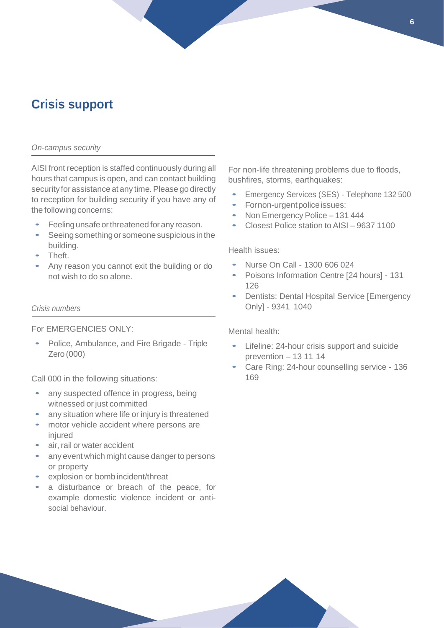# **Crisis support**

#### *On-campus security*

AISI front reception is staffed continuously during all hours that campus is open, and can contact building security for assistance at any time. Please go directly to reception for building security if you have any of the following concerns:

- Feeling unsafe or threatened for any reason.
- Seeing something or someone suspicious in the building.
- Theft.
- Any reason you cannot exit the building or do not wish to do so alone.

### *Crisis numbers*

### For EMERGENCIES ONLY:

• Police, Ambulance, and Fire Brigade - Triple Zero (000)

Call 000 in the following situations:

- any suspected offence in progress, being witnessed or just committed
- any situation where life or injury is threatened
- motor vehicle accident where persons are injured
- air, rail or water accident
- any event which might cause danger to persons or property
- explosion or bomb incident/threat
- a disturbance or breach of the peace, for example domestic violence incident or antisocial behaviour.

For non-life threatening problems due to floods, bushfires, storms, earthquakes:

- Emergency Services (SES) Telephone 132 <sup>500</sup>
- Fornon-urgentpoliceissues:
- Non Emergency Police 131 444
- Closest Police station to AISI <sup>9637</sup> <sup>1100</sup>

Health issues:

- Nurse On Call 1300 606 024
- Poisons Information Centre [24 hours] <sup>131</sup> 126
- Dentists: Dental Hospital Service [Emergency Only] - 9341 1040

# Mental health:

- Lifeline: 24-hour crisis support and suicide prevention – 13 11 14
- Care Ring: 24-hour counselling service <sup>136</sup> 169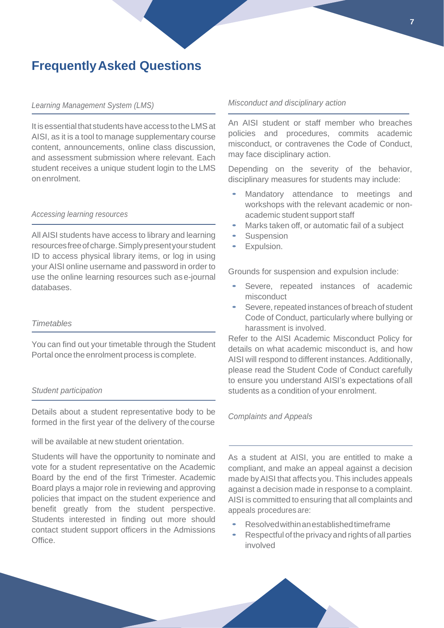# **FrequentlyAsked Questions**

# *Learning Management System (LMS)*

It is essential that students have access to the LMS at AISI, as it is a tool to manage supplementary course content, announcements, online class discussion, and assessment submission where relevant. Each student receives a unique student login to the LMS on enrolment.

#### *Accessing learning resources*

All AISI students have access to library and learning resourcesfreeofcharge.Simplypresentyourstudent ID to access physical library items, or log in using your AISI online username and password in order to use the online learning resources such as e-journal databases.

# *Timetables*

You can find out your timetable through the Student Portal once the enrolment process is complete.

# *Student participation*

Details about a student representative body to be formed in the first year of the delivery of thecourse

will be available at new student orientation.

Students will have the opportunity to nominate and vote for a student representative on the Academic Board by the end of the first Trimester. Academic Board plays a major role in reviewing and approving policies that impact on the student experience and benefit greatly from the student perspective. Students interested in finding out more should contact student support officers in the Admissions Office.

#### *Misconduct and disciplinary action*

An AISI student or staff member who breaches policies and procedures, commits academic misconduct, or contravenes the Code of Conduct, may face disciplinary action.

Depending on the severity of the behavior, disciplinary measures for students may include:

- Mandatory attendance to meetings and workshops with the relevant academic or nonacademic student support staff
- Marks taken off, or automatic fail of a subject
- **Suspension**
- Expulsion.

Grounds for suspension and expulsion include:

- Severe, repeated instances of academic misconduct
- Severe, repeated instances of breach of student Code of Conduct, particularly where bullying or harassment is involved.

Refer to the AISI Academic Misconduct Policy for details on what academic misconduct is, and how AISI will respond to different instances. Additionally, please read the Student Code of Conduct carefully to ensure you understand AISI's expectations ofall students as a condition of your enrolment.

#### *Complaints and Appeals*

As a student at AISI, you are entitled to make a compliant, and make an appeal against a decision made byAISI that affects you. This includes appeals against a decision made in response to a complaint. AISI is committed to ensuring that all complaints and appeals procedures are:

- Resolvedwithinanestablishedtimeframe
- Respectful of the privacy and rights of all parties involved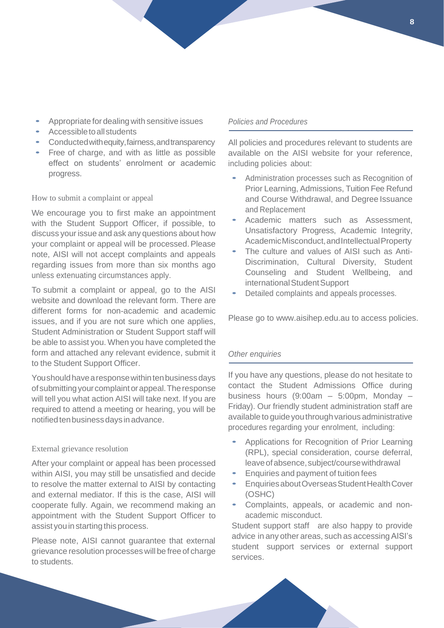- Appropriate for dealing with sensitive issues
- Accessible to all students
- Conductedwithequity,fairness,andtransparency
- Free of charge, and with as little as possible effect on students' enrolment or academic progress.

### How to submit a complaint or appeal

We encourage you to first make an appointment with the Student Support Officer, if possible, to discuss your issue and ask any questions about how your complaint or appeal will be processed. Please note, AISI will not accept complaints and appeals regarding issues from more than six months ago unless extenuating circumstances apply.

To submit a complaint or appeal, go to the AISI website and download the relevant form. There are different forms for non-academic and academic issues, and if you are not sure which one applies, Student Administration or Student Support staff will be able to assist you. When you have completed the form and attached any relevant evidence, submit it to the Student Support Officer.

You should have a response within ten business days ofsubmittingyourcomplaintorappeal.Theresponse will tell you what action AISI will take next. If you are required to attend a meeting or hearing, you will be notified ten business days in advance.

### External grievance resolution

After your complaint or appeal has been processed within AISI, you may still be unsatisfied and decide to resolve the matter external to AISI by contacting and external mediator. If this is the case, AISI will cooperate fully. Again, we recommend making an appointment with the Student Support Officer to assist you in starting this process.

Please note, AISI cannot guarantee that external grievance resolution processes will be free of charge to students.

# *Policies and Procedures*

All policies and procedures relevant to students are available on the AISI website for your reference, including policies about:

- Administration processes such as Recognition of Prior Learning, Admissions, Tuition Fee Refund and Course Withdrawal, and Degree Issuance and Replacement
- Academic matters such as Assessment, Unsatisfactory Progress, Academic Integrity, AcademicMisconduct,andIntellectualProperty
- The culture and values of AISI such as Anti-Discrimination, Cultural Diversity, Student Counseling and Student Wellbeing, and international Student Support
- Detailed complaints and appeals processes.

Please go to www.aisihep.edu.au to access policies.

# *Other enquiries*

If you have any questions, please do not hesitate to contact the Student Admissions Office during business hours (9:00am – 5:00pm, Monday – Friday). Our friendly student administration staff are available to guide you through various administrative procedures regarding your enrolment, including:

- Applications for Recognition of Prior Learning (RPL), special consideration, course deferral, leave of absence, subject/course withdrawal
- Enquiries and payment of tuition fees
- EnquiriesaboutOverseasStudentHealthCover (OSHC)
- Complaints, appeals, or academic and nonacademic misconduct.

Student support staff are also happy to provide advice in any other areas, such as accessingAISI's student support services or external support services.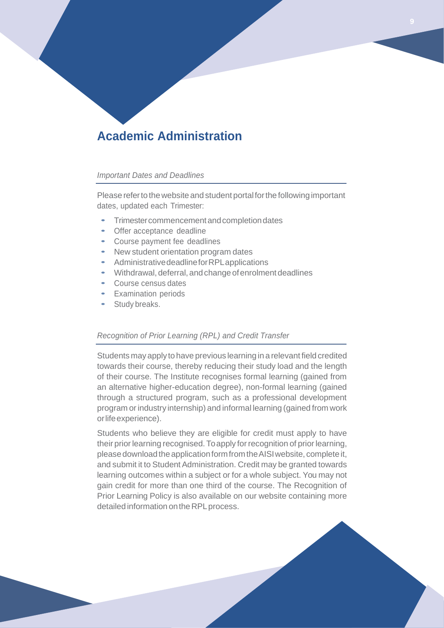# **Academic Administration**

### *Important Dates and Deadlines*

Please refer to the website and student portal for the following important dates, updated each Trimester:

- Trimestercommencementandcompletiondates
- Offer acceptance deadline
- Course payment fee deadlines
- New student orientation program dates
- AdministrativedeadlineforRPLapplications
- Withdrawal, deferral, and change of enrolment deadlines
- Course census dates
- Examination periods
- Study breaks.

# *Recognition of Prior Learning (RPL) and Credit Transfer*

Students mayapplyto have previous learning in a relevant field credited towards their course, thereby reducing their study load and the length of their course. The Institute recognises formal learning (gained from an alternative higher-education degree), non-formal learning (gained through a structured program, such as a professional development program orindustry internship) and informal learning (gained from work orlifeexperience).

Students who believe they are eligible for credit must apply to have their prior learning recognised. To apply for recognition of prior learning, please download the application form from the AISI website, complete it, and submit it to Student Administration. Credit may be granted towards learning outcomes within a subject or for a whole subject. You may not gain credit for more than one third of the course. The Recognition of Prior Learning Policy is also available on our website containing more detailed information on the RPL process.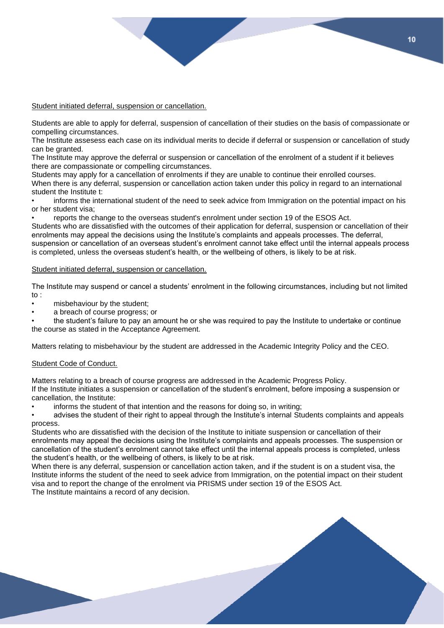#### Student initiated deferral, suspension or cancellation.

Students are able to apply for deferral, suspension of cancellation of their studies on the basis of compassionate or compelling circumstances.

The Institute assesess each case on its individual merits to decide if deferral or suspension or cancellation of study can be granted.

The Institute may approve the deferral or suspension or cancellation of the enrolment of a student if it believes there are compassionate or compelling circumstances.

Students may apply for a cancellation of enrolments if they are unable to continue their enrolled courses. When there is any deferral, suspension or cancellation action taken under this policy in regard to an international student the Institute t:

• informs the international student of the need to seek advice from Immigration on the potential impact on his or her student visa;

• reports the change to the overseas student's enrolment under section 19 of the ESOS Act.

Students who are dissatisfied with the outcomes of their application for deferral, suspension or cancellation of their enrolments may appeal the decisions using the Institute's complaints and appeals processes. The deferral, suspension or cancellation of an overseas student's enrolment cannot take effect until the internal appeals process is completed, unless the overseas student's health, or the wellbeing of others, is likely to be at risk.

#### Student initiated deferral, suspension or cancellation.

The Institute may suspend or cancel a students' enrolment in the following circumstances, including but not limited to :

- misbehaviour by the student;
- a breach of course progress; or

• the student's failure to pay an amount he or she was required to pay the Institute to undertake or continue the course as stated in the Acceptance Agreement.

Matters relating to misbehaviour by the student are addressed in the Academic Integrity Policy and the CEO.

#### Student Code of Conduct.

Matters relating to a breach of course progress are addressed in the Academic Progress Policy. If the Institute initiates a suspension or cancellation of the student's enrolment, before imposing a suspension or cancellation, the Institute:

informs the student of that intention and the reasons for doing so, in writing;

• advises the student of their right to appeal through the Institute's internal Students complaints and appeals process.

Students who are dissatisfied with the decision of the Institute to initiate suspension or cancellation of their enrolments may appeal the decisions using the Institute's complaints and appeals processes. The suspension or cancellation of the student's enrolment cannot take effect until the internal appeals process is completed, unless the student's health, or the wellbeing of others, is likely to be at risk.

When there is any deferral, suspension or cancellation action taken, and if the student is on a student visa, the Institute informs the student of the need to seek advice from Immigration, on the potential impact on their student visa and to report the change of the enrolment via PRISMS under section 19 of the ESOS Act. The Institute maintains a record of any decision.

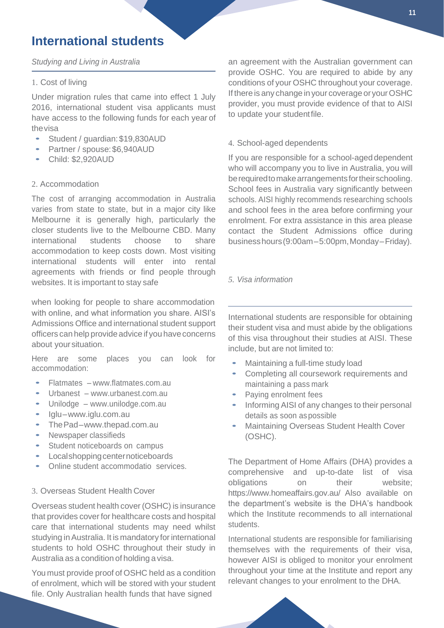# **International students**

# *Studying and Living in Australia*

### 1. Cost of living

Under migration rules that came into effect 1 July 2016, international student visa applicants must have access to the following funds for each year of thevisa

- Student / guardian:\$19,830AUD
- Partner / spouse:\$6,940AUD
- Child: \$2,920AUD

### 2. Accommodation

The cost of arranging accommodation in Australia varies from state to state, but in a major city like Melbourne it is generally high, particularly the closer students live to the Melbourne CBD. Many international students choose to share accommodation to keep costs down. Most visiting international students will enter into rental agreements with friends or find people through websites. It is important to stay safe

when looking for people to share accommodation with online, and what information you share. AISI's Admissions Office and international student support officers can help provideadvice if you have concerns about your situation.

Here are some places you can look for accommodation:

- Flatmates [www.flatmates.com.au](http://www.flatmates.com.au/)
- Urbanest [www.urbanest.com.au](http://www.urbanest.com.au/)
- Unilodge [www.unilodge.com.au](http://www.unilodge.com.au/)
- Iglu[–www.iglu.com.au](http://www.iglu.com.au/)
- ThePad[–www.thepad.com.au](http://www.thepad.com.au/)
- Newspaper classifieds
- Student noticeboards on campus
- Localshoppingcenternoticeboards
- Online student accommodatio services.

### 3. Overseas Student Health Cover

Overseas student health cover (OSHC) is insurance that provides coverfor healthcare costs and hospital care that international students may need whilst studying in Australia. It is mandatory for international students to hold OSHC throughout their study in Australia as a condition of holding a visa.

You must provide proof of OSHC held as a condition of enrolment, which will be stored with your student file. Only Australian health funds that have signed

an agreement with the Australian government can provide OSHC. You are required to abide by any conditions of your OSHC throughout your coverage. If there is any change in your coverage or your OSHC provider, you must provide evidence of that to AISI to update your studentfile.

# 4. School-aged dependents

If you are responsible for a school-aged dependent who will accompany you to live in Australia, you will berequiredtomakearrangementsfortheirschooling. School fees in Australia vary significantly between schools. AISI highly recommends researching schools and school fees in the area before confirming your enrolment. For extra assistance in this area please contact the Student Admissions office during businesshours(9:00am–5:00pm,Monday–Friday).

# *5. Visa information*

International students are responsible for obtaining their student visa and must abide by the obligations of this visa throughout their studies at AISI. These include, but are not limited to:

- Maintaining <sup>a</sup> full-time study load
- Completing all coursework requirements and maintaining a pass mark
- Paying enrolment fees
- Informing AISI of any changes to their personal details as soon aspossible
- Maintaining Overseas Student Health Cover (OSHC).

The Department of Home Affairs (DHA) provides a comprehensive and up-to-date list of visa obligations on their website; https://www.homeaffairs.gov.au/ Also available on the department's website is the DHA's handbook which the Institute recommends to all international students.

International students are responsible for familiarising themselves with the requirements of their visa, however AISI is obliged to monitor your enrolment throughout your time at the Institute and report any relevant changes to your enrolment to the DHA.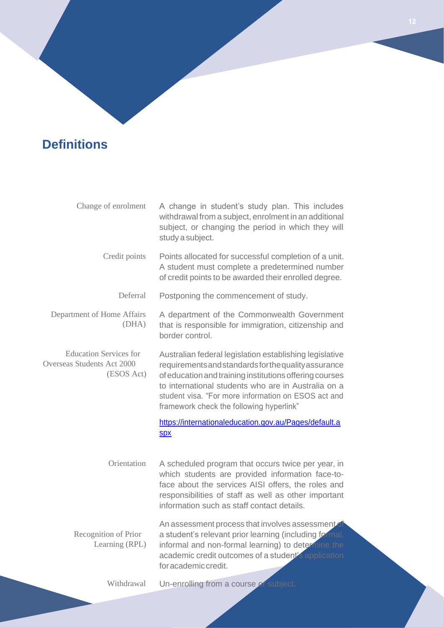# **Definitions**

| Change of enrolment                                                       | A change in student's study plan. This includes<br>withdrawal from a subject, enrolment in an additional<br>subject, or changing the period in which they will<br>study a subject.                                                                                                                                                   |
|---------------------------------------------------------------------------|--------------------------------------------------------------------------------------------------------------------------------------------------------------------------------------------------------------------------------------------------------------------------------------------------------------------------------------|
| Credit points                                                             | Points allocated for successful completion of a unit.<br>A student must complete a predetermined number<br>of credit points to be awarded their enrolled degree.                                                                                                                                                                     |
| Deferral                                                                  | Postponing the commencement of study.                                                                                                                                                                                                                                                                                                |
| Department of Home Affairs<br>(DHA)                                       | A department of the Commonwealth Government<br>that is responsible for immigration, citizenship and<br>border control.                                                                                                                                                                                                               |
| <b>Education Services for</b><br>Overseas Students Act 2000<br>(ESOS Act) | Australian federal legislation establishing legislative<br>requirements and standards for the quality assurance<br>of education and training institutions offering courses<br>to international students who are in Australia on a<br>student visa. "For more information on ESOS act and<br>framework check the following hyperlink" |
|                                                                           | https://internationaleducation.gov.au/Pages/default.a<br><b>Spx</b>                                                                                                                                                                                                                                                                  |
| Orientation                                                               | A scheduled program that occurs twice per year, in<br>which students are provided information face-to-<br>face about the services AISI offers, the roles and<br>responsibilities of staff as well as other important<br>information such as staff contact details.                                                                   |
| Recognition of Prior<br>Learning (RPL)                                    | An assessment process that involves assessment of<br>a student's relevant prior learning (including formal,<br>informal and non-formal learning) to determine the<br>academic credit outcomes of a student's application<br>for academic credit.                                                                                     |
| Withdrawal                                                                | Un-enrolling from a course of subject.                                                                                                                                                                                                                                                                                               |
|                                                                           |                                                                                                                                                                                                                                                                                                                                      |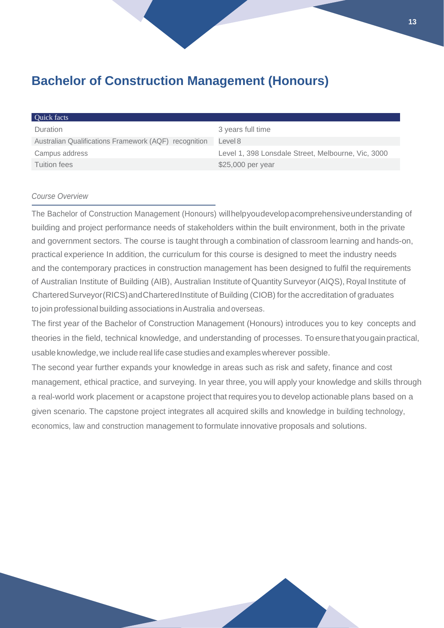# **Bachelor of Construction Management (Honours)**

| Quick facts                                           |                                                    |
|-------------------------------------------------------|----------------------------------------------------|
| Duration                                              | 3 years full time                                  |
| Australian Qualifications Framework (AQF) recognition | Level 8                                            |
| Campus address                                        | Level 1, 398 Lonsdale Street, Melbourne, Vic, 3000 |
| <b>Tuition fees</b>                                   | \$25,000 per year                                  |

# *Course Overview*

The Bachelor of Construction Management (Honours) willhelpyoudevelopacomprehensiveunderstanding of building and project performance needs of stakeholders within the built environment, both in the private and government sectors. The course is taught through a combination of classroom learning and hands-on, practical experience In addition, the curriculum for this course is designed to meet the industry needs and the contemporary practices in construction management has been designed to fulfil the requirements of Australian Institute of Building (AIB), Australian Institute of Quantity Surveyor (AIQS), Royal Institute of CharteredSurveyor(RICS)andCharteredInstitute of Building (CIOB) forthe accreditation of graduates to join professional building associations inAustralia and overseas.

The first year of the Bachelor of Construction Management (Honours) introduces you to key concepts and theories in the field, technical knowledge, and understanding of processes. To ensurethatyougainpractical, usable knowledge, we include real life case studies and examples wherever possible.

The second year further expands your knowledge in areas such as risk and safety, finance and cost management, ethical practice, and surveying. In year three, you will apply your knowledge and skills through a real-world work placement or acapstone project that requires you to develop actionable plans based on a given scenario. The capstone project integrates all acquired skills and knowledge in building technology, economics, law and construction management to formulate innovative proposals and solutions.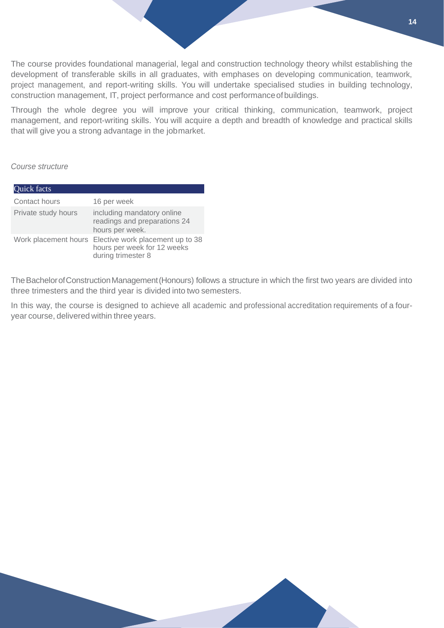The course provides foundational managerial, legal and construction technology theory whilst establishing the development of transferable skills in all graduates, with emphases on developing communication, teamwork, project management, and report-writing skills. You will undertake specialised studies in building technology, construction management, IT, project performance and cost performanceofbuildings.

Through the whole degree you will improve your critical thinking, communication, teamwork, project management, and report-writing skills. You will acquire a depth and breadth of knowledge and practical skills that will give you a strong advantage in the jobmarket.

*Course structure*

| Quick facts          |                                                                                       |
|----------------------|---------------------------------------------------------------------------------------|
| Contact hours        | 16 per week                                                                           |
| Private study hours  | including mandatory online<br>readings and preparations 24<br>hours per week.         |
| Work placement hours | Elective work placement up to 38<br>hours per week for 12 weeks<br>during trimester 8 |

TheBachelorofConstructionManagement(Honours) follows a structure in which the first two years are divided into three trimesters and the third year is divided into two semesters.

In this way, the course is designed to achieve all academic and professional accreditation requirements of a fouryear course, delivered within three years.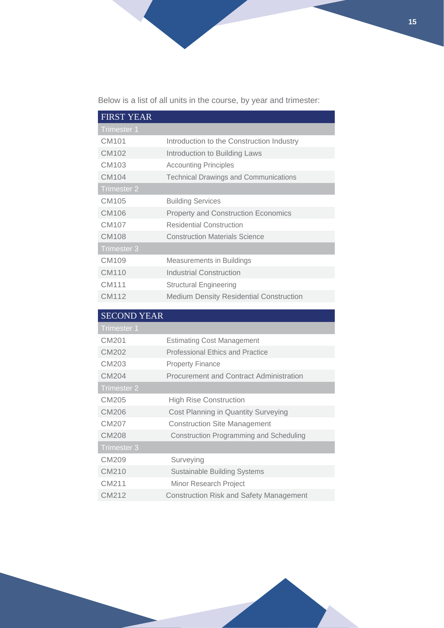Below is a list of all units in the course, by year and trimester:

| <b>FIRST YEAR</b>  |                                                |
|--------------------|------------------------------------------------|
| <b>Trimester 1</b> |                                                |
| CM101              | Introduction to the Construction Industry      |
| CM102              | Introduction to Building Laws                  |
| CM103              | <b>Accounting Principles</b>                   |
| CM104              | <b>Technical Drawings and Communications</b>   |
| <b>Trimester 2</b> |                                                |
| CM105              | <b>Building Services</b>                       |
| CM106              | <b>Property and Construction Economics</b>     |
| CM107              | <b>Residential Construction</b>                |
| <b>CM108</b>       | <b>Construction Materials Science</b>          |
| <b>Trimester 3</b> |                                                |
| CM109              | Measurements in Buildings                      |
| CM110              | <b>Industrial Construction</b>                 |
| CM111              | <b>Structural Engineering</b>                  |
| CM112              | <b>Medium Density Residential Construction</b> |
|                    |                                                |

| <b>SECOND YEAR</b> |                                                |
|--------------------|------------------------------------------------|
| Trimester 1        |                                                |
| CM201              | <b>Estimating Cost Management</b>              |
| CM202              | <b>Professional Ethics and Practice</b>        |
| CM203              | <b>Property Finance</b>                        |
| CM204              | <b>Procurement and Contract Administration</b> |
| Trimester 2        |                                                |
| CM205              | <b>High Rise Construction</b>                  |
| CM206              | Cost Planning in Quantity Surveying            |
| CM207              | <b>Construction Site Management</b>            |
| CM208              | <b>Construction Programming and Scheduling</b> |
| Trimester 3        |                                                |
| CM209              | Surveying                                      |
| CM210              | <b>Sustainable Building Systems</b>            |
| CM211              | Minor Research Project                         |
| CM212              | <b>Construction Risk and Safety Management</b> |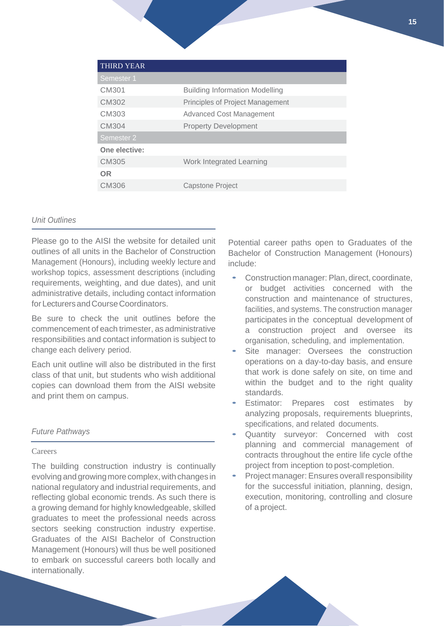| <b>THIRD YEAR</b> |                                         |
|-------------------|-----------------------------------------|
| Semester 1        |                                         |
| CM301             | <b>Building Information Modelling</b>   |
| CM302             | <b>Principles of Project Management</b> |
| CM303             | <b>Advanced Cost Management</b>         |
| CM304             | <b>Property Development</b>             |
| Semester 2        |                                         |
| One elective:     |                                         |
| CM305             | Work Integrated Learning                |
| OR                |                                         |
| CM306             | Capstone Project                        |
|                   |                                         |

### *Unit Outlines*

Please go to the AISI the website for detailed unit outlines of all units in the Bachelor of Construction Management (Honours), including weekly lecture and workshop topics, assessment descriptions (including requirements, weighting, and due dates), and unit administrative details, including contact information forLecturersandCourseCoordinators.

Be sure to check the unit outlines before the commencement of each trimester, as administrative responsibilities and contact information is subject to change each delivery period.

Each unit outline will also be distributed in the first class of that unit, but students who wish additional copies can download them from the AISI website and print them on campus.

### *Future Pathways*

#### Careers

The building construction industry is continually evolving and growing more complex, with changes in national regulatory and industrial requirements, and reflecting global economic trends. As such there is a growing demand for highly knowledgeable, skilled graduates to meet the professional needs across sectors seeking construction industry expertise. Graduates of the AISI Bachelor of Construction Management (Honours) will thus be well positioned to embark on successful careers both locally and internationally.

Potential career paths open to Graduates of the Bachelor of Construction Management (Honours) include:

- Construction manager: Plan, direct, coordinate, or budget activities concerned with the construction and maintenance of structures, facilities, and systems. The construction manager participates in the conceptual development of a construction project and oversee its organisation, scheduling, and implementation.
- Site manager: Oversees the construction operations on a day-to-day basis, and ensure that work is done safely on site, on time and within the budget and to the right quality standards.
- Estimator: Prepares cost estimates by analyzing proposals, requirements blueprints, specifications, and related documents.
- Quantity surveyor: Concerned with cost planning and commercial management of contracts throughout the entire life cycle ofthe project from inception to post-completion.
- Project manager: Ensures overall responsibility for the successful initiation, planning, design, execution, monitoring, controlling and closure of a project.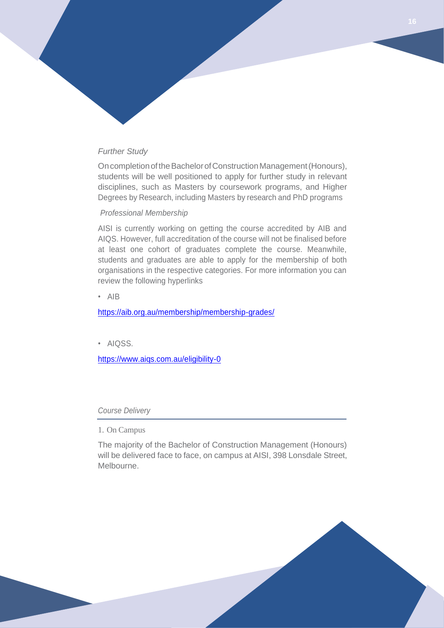# *Further Study*

On completion of the Bachelor of Construction Management (Honours), students will be well positioned to apply for further study in relevant disciplines, such as Masters by coursework programs, and Higher Degrees by Research, including Masters by research and PhD programs

#### *Professional Membership*

AISI is currently working on getting the course accredited by AIB and AIQS. However, full accreditation of the course will not be finalised before at least one cohort of graduates complete the course. Meanwhile, students and graduates are able to apply for the membership of both organisations in the respective categories. For more information you can review the following hyperlinks

• AIB

<https://aib.org.au/membership/membership-grades/>

• AIQSS.

<https://www.aiqs.com.au/eligibility-0>

#### *Course Delivery*

1. On Campus

The majority of the Bachelor of Construction Management (Honours) will be delivered face to face, on campus at AISI, 398 Lonsdale Street, Melbourne.

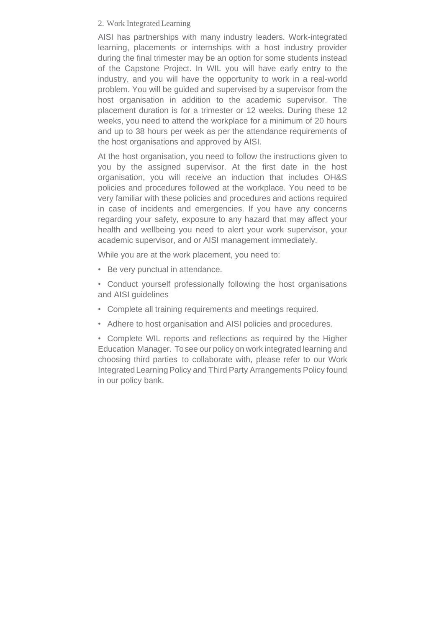# 2. Work IntegratedLearning

AISI has partnerships with many industry leaders. Work-integrated learning, placements or internships with a host industry provider during the final trimester may be an option for some students instead of the Capstone Project. In WIL you will have early entry to the industry, and you will have the opportunity to work in a real-world problem. You will be guided and supervised by a supervisor from the host organisation in addition to the academic supervisor. The placement duration is for a trimester or 12 weeks. During these 12 weeks, you need to attend the workplace for a minimum of 20 hours and up to 38 hours per week as per the attendance requirements of the host organisations and approved by AISI.

At the host organisation, you need to follow the instructions given to you by the assigned supervisor. At the first date in the host organisation, you will receive an induction that includes OH&S policies and procedures followed at the workplace. You need to be very familiar with these policies and procedures and actions required in case of incidents and emergencies. If you have any concerns regarding your safety, exposure to any hazard that may affect your health and wellbeing you need to alert your work supervisor, your academic supervisor, and or AISI management immediately.

While you are at the work placement, you need to:

- Be very punctual in attendance.
- Conduct yourself professionally following the host organisations and AISI guidelines
- Complete all training requirements and meetings required.
- Adhere to host organisation and AISI policies and procedures.

• Complete WIL reports and reflections as required by the Higher Education Manager. Tosee our policy on work integrated learning and choosing third parties to collaborate with, please refer to our Work Integrated Learning Policy and Third Party Arrangements Policy found in our policy bank.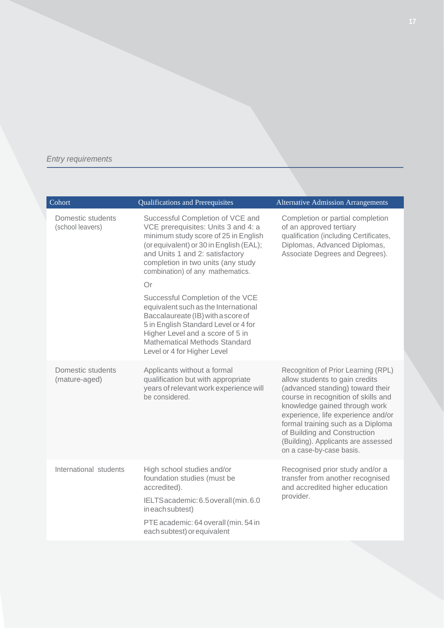# *Entry requirements*

| Cohort                                | Qualifications and Prerequisites                                                                                                                                                                                                                                              | <b>Alternative Admission Arrangements</b>                                                                                                                                                                                                                                                                                                                       |
|---------------------------------------|-------------------------------------------------------------------------------------------------------------------------------------------------------------------------------------------------------------------------------------------------------------------------------|-----------------------------------------------------------------------------------------------------------------------------------------------------------------------------------------------------------------------------------------------------------------------------------------------------------------------------------------------------------------|
| Domestic students<br>(school leavers) | Successful Completion of VCE and<br>VCE prerequisites: Units 3 and 4: a<br>minimum study score of 25 in English<br>(or equivalent) or 30 in English (EAL);<br>and Units 1 and 2: satisfactory<br>completion in two units (any study<br>combination) of any mathematics.<br>Or | Completion or partial completion<br>of an approved tertiary<br>qualification (including Certificates,<br>Diplomas, Advanced Diplomas,<br>Associate Degrees and Degrees).                                                                                                                                                                                        |
|                                       | Successful Completion of the VCE<br>equivalent such as the International<br>Baccalaureate (IB) with a score of<br>5 in English Standard Level or 4 for<br>Higher Level and a score of 5 in<br><b>Mathematical Methods Standard</b><br>Level or 4 for Higher Level             |                                                                                                                                                                                                                                                                                                                                                                 |
| Domestic students<br>(mature-aged)    | Applicants without a formal<br>qualification but with appropriate<br>years of relevant work experience will<br>be considered.                                                                                                                                                 | Recognition of Prior Learning (RPL)<br>allow students to gain credits<br>(advanced standing) toward their<br>course in recognition of skills and<br>knowledge gained through work<br>experience, life experience and/or<br>formal training such as a Diploma<br>of Building and Construction<br>(Building). Applicants are assessed<br>on a case-by-case basis. |
| International students                | High school studies and/or<br>foundation studies (must be<br>accredited).<br>IELTSacademic: 6.5 overall (min. 6.0<br>ineach subtest)<br>PTE academic: 64 overall (min. 54 in<br>each subtest) or equivalent                                                                   | Recognised prior study and/or a<br>transfer from another recognised<br>and accredited higher education<br>provider.                                                                                                                                                                                                                                             |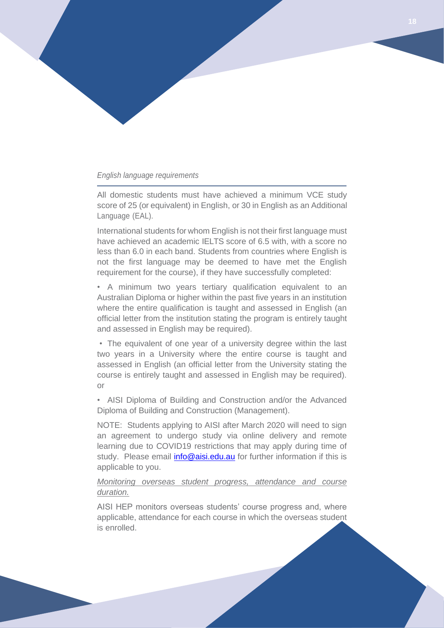### *English language requirements*

All domestic students must have achieved a minimum VCE study score of 25 (or equivalent) in English, or 30 in English as an Additional Language (EAL).

International students for whom English is not their first language must have achieved an academic IELTS score of 6.5 with, with a score no less than 6.0 in each band. Students from countries where English is not the first language may be deemed to have met the English requirement for the course), if they have successfully completed:

• A minimum two years tertiary qualification equivalent to an Australian Diploma or higher within the past five years in an institution where the entire qualification is taught and assessed in English (an official letter from the institution stating the program is entirely taught and assessed in English may be required).

• The equivalent of one year of a university degree within the last two years in a University where the entire course is taught and assessed in English (an official letter from the University stating the course is entirely taught and assessed in English may be required). or

• AISI Diploma of Building and Construction and/or the Advanced Diploma of Building and Construction (Management).

NOTE: Students applying to AISI after March 2020 will need to sign an agreement to undergo study via online delivery and remote learning due to COVID19 restrictions that may apply during time of study. Please email *info@aisi.edu.au* for further information if this is applicable to you.

# *Monitoring overseas student progress, attendance and course duration.*

AISI HEP monitors overseas students' course progress and, where applicable, attendance for each course in which the overseas student is enrolled.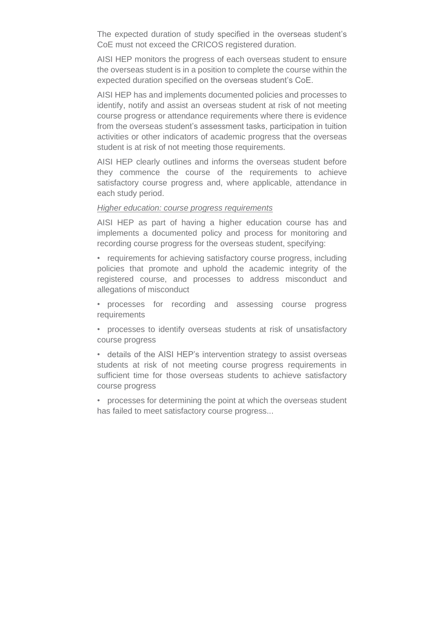The expected duration of study specified in the overseas student's CoE must not exceed the CRICOS registered duration.

AISI HEP monitors the progress of each overseas student to ensure the overseas student is in a position to complete the course within the expected duration specified on the overseas student's CoE.

AISI HEP has and implements documented policies and processes to identify, notify and assist an overseas student at risk of not meeting course progress or attendance requirements where there is evidence from the overseas student's assessment tasks, participation in tuition activities or other indicators of academic progress that the overseas student is at risk of not meeting those requirements.

AISI HEP clearly outlines and informs the overseas student before they commence the course of the requirements to achieve satisfactory course progress and, where applicable, attendance in each study period.

# *Higher education: course progress requirements*

AISI HEP as part of having a higher education course has and implements a documented policy and process for monitoring and recording course progress for the overseas student, specifying:

• requirements for achieving satisfactory course progress, including policies that promote and uphold the academic integrity of the registered course, and processes to address misconduct and allegations of misconduct

• processes for recording and assessing course progress requirements

• processes to identify overseas students at risk of unsatisfactory course progress

• details of the AISI HEP's intervention strategy to assist overseas students at risk of not meeting course progress requirements in sufficient time for those overseas students to achieve satisfactory course progress

• processes for determining the point at which the overseas student has failed to meet satisfactory course progress...